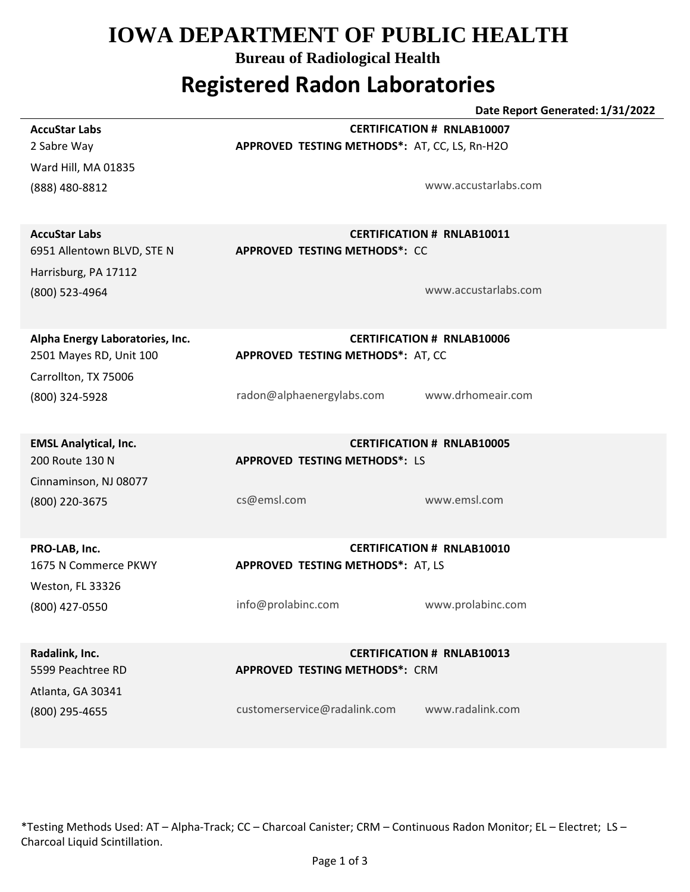## **IOWA DEPARTMENT OF PUBLIC HEALTH**

**Bureau of Radiological Health**

## **Registered Radon Laboratories**

**Date Report Generated: 1/31/2022 APPROVED TESTING METHODS\*:** AT, CC, LS, Rn-H2O (888) 480-8812 Ward Hill, MA 01835 2 Sabre Way **AccuStar Labs CERTIFICATION # RNLAB10007** www.accustarlabs.com **APPROVED TESTING METHODS\*:** CC (800) 523-4964 Harrisburg, PA 17112 6951 Allentown BLVD, STE N **AccuStar Labs CERTIFICATION # RNLAB10011** www.accustarlabs.com **APPROVED TESTING METHODS\*:** AT, CC (800) 324-5928 Carrollton, TX 75006 2501 Mayes RD, Unit 100 **Alpha Energy Laboratories, Inc. CERTIFICATION # RNLAB10006** radon@alphaenergylabs.com www.drhomeair.com **APPROVED TESTING METHODS\*:** LS (800) 220-3675 Cinnaminson, NJ 08077 200 Route 130 N **EMSL Analytical, Inc. CERTIFICATION # RNLAB10005** cs@emsl.com www.emsl.com **APPROVED TESTING METHODS\*:** AT, LS (800) 427-0550 Weston, FL 33326 1675 N Commerce PKWY **PRO-LAB, Inc. CERTIFICATION # RNLAB10010** info@prolabinc.com www.prolabinc.com **APPROVED TESTING METHODS\*:** CRM (800) 295-4655 Atlanta, GA 30341 5599 Peachtree RD **Radalink, Inc. CERTIFICATION # RNLAB10013** customerservice@radalink.com www.radalink.com

\*Testing Methods Used: AT – Alpha-Track; CC – Charcoal Canister; CRM – Continuous Radon Monitor; EL – Electret; LS – Charcoal Liquid Scintillation.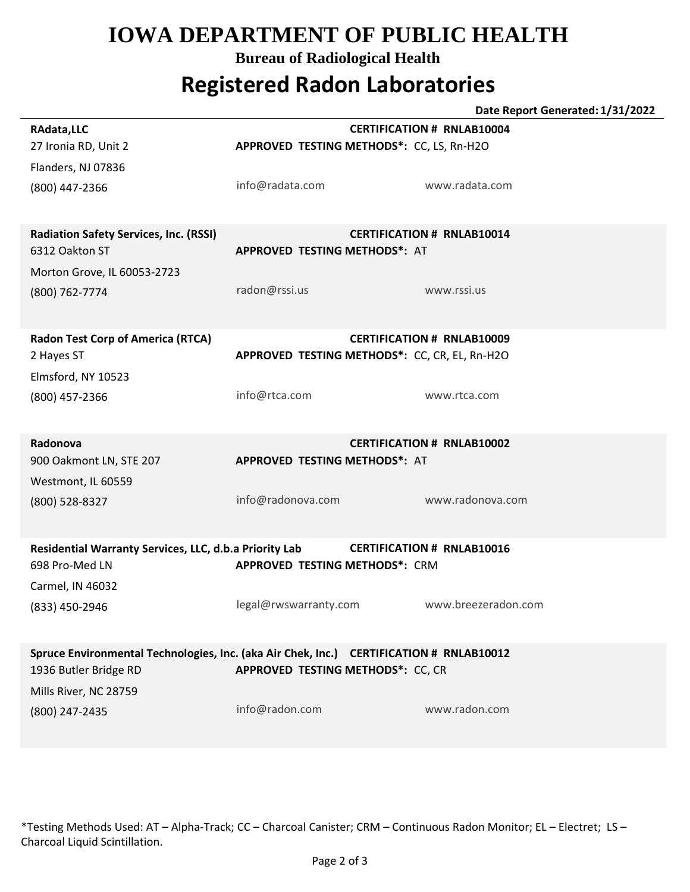# **IOWA DEPARTMENT OF PUBLIC HEALTH**

#### **Bureau of Radiological Health**

# **Registered Radon Laboratories**

|                                                                                             | Date Report Generated: 1/31/2022              |                     |  |
|---------------------------------------------------------------------------------------------|-----------------------------------------------|---------------------|--|
| RAdata, LLC                                                                                 | <b>CERTIFICATION # RNLAB10004</b>             |                     |  |
| 27 Ironia RD, Unit 2                                                                        | APPROVED TESTING METHODS*: CC, LS, Rn-H2O     |                     |  |
| Flanders, NJ 07836                                                                          |                                               |                     |  |
|                                                                                             | info@radata.com                               | www.radata.com      |  |
| (800) 447-2366                                                                              |                                               |                     |  |
|                                                                                             |                                               |                     |  |
| <b>Radiation Safety Services, Inc. (RSSI)</b><br><b>CERTIFICATION # RNLAB10014</b>          |                                               |                     |  |
| 6312 Oakton ST                                                                              | <b>APPROVED TESTING METHODS*: AT</b>          |                     |  |
|                                                                                             |                                               |                     |  |
| Morton Grove, IL 60053-2723                                                                 |                                               |                     |  |
| (800) 762-7774                                                                              | radon@rssi.us                                 | www.rssi.us         |  |
|                                                                                             |                                               |                     |  |
| <b>Radon Test Corp of America (RTCA)</b>                                                    | <b>CERTIFICATION # RNLAB10009</b>             |                     |  |
| 2 Hayes ST                                                                                  | APPROVED TESTING METHODS*: CC, CR, EL, Rn-H2O |                     |  |
|                                                                                             |                                               |                     |  |
| Elmsford, NY 10523                                                                          |                                               |                     |  |
| (800) 457-2366                                                                              | info@rtca.com                                 | www.rtca.com        |  |
|                                                                                             |                                               |                     |  |
| Radonova                                                                                    | <b>CERTIFICATION # RNLAB10002</b>             |                     |  |
| 900 Oakmont LN, STE 207                                                                     | <b>APPROVED TESTING METHODS*: AT</b>          |                     |  |
|                                                                                             |                                               |                     |  |
| Westmont, IL 60559                                                                          |                                               |                     |  |
| (800) 528-8327                                                                              | info@radonova.com                             | www.radonova.com    |  |
|                                                                                             |                                               |                     |  |
| Residential Warranty Services, LLC, d.b.a Priority Lab<br><b>CERTIFICATION # RNLAB10016</b> |                                               |                     |  |
| 698 Pro-Med LN                                                                              | <b>APPROVED TESTING METHODS*: CRM</b>         |                     |  |
|                                                                                             |                                               |                     |  |
| Carmel, IN 46032                                                                            |                                               |                     |  |
| (833) 450-2946                                                                              | legal@rwswarranty.com                         | www.breezeradon.com |  |
|                                                                                             |                                               |                     |  |
| Spruce Environmental Technologies, Inc. (aka Air Chek, Inc.) CERTIFICATION # RNLAB10012     |                                               |                     |  |
| <b>APPROVED TESTING METHODS*: CC, CR</b><br>1936 Butler Bridge RD                           |                                               |                     |  |
| Mills River, NC 28759                                                                       |                                               |                     |  |
|                                                                                             | info@radon.com                                | www.radon.com       |  |
| (800) 247-2435                                                                              |                                               |                     |  |
|                                                                                             |                                               |                     |  |

\*Testing Methods Used: AT – Alpha-Track; CC – Charcoal Canister; CRM – Continuous Radon Monitor; EL – Electret; LS – Charcoal Liquid Scintillation.